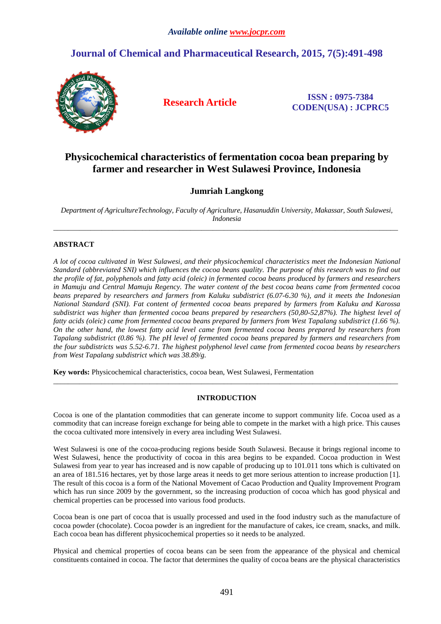# **Journal of Chemical and Pharmaceutical Research, 2015, 7(5):491-498**



**Research Article ISSN : 0975-7384 CODEN(USA) : JCPRC5**

# **Physicochemical characteristics of fermentation cocoa bean preparing by farmer and researcher in West Sulawesi Province, Indonesia**

## **Jumriah Langkong**

*Department of AgricultureTechnology, Faculty of Agriculture, Hasanuddin University, Makassar, South Sulawesi, Indonesia*  \_\_\_\_\_\_\_\_\_\_\_\_\_\_\_\_\_\_\_\_\_\_\_\_\_\_\_\_\_\_\_\_\_\_\_\_\_\_\_\_\_\_\_\_\_\_\_\_\_\_\_\_\_\_\_\_\_\_\_\_\_\_\_\_\_\_\_\_\_\_\_\_\_\_\_\_\_\_\_\_\_\_\_\_\_\_\_\_\_\_\_\_\_

## **ABSTRACT**

*A lot of cocoa cultivated in West Sulawesi, and their physicochemical characteristics meet the Indonesian National Standard (abbreviated SNI) which influences the cocoa beans quality. The purpose of this research was to find out the profile of fat, polyphenols and fatty acid (oleic) in fermented cocoa beans produced by farmers and researchers in Mamuju and Central Mamuju Regency. The water content of the best cocoa beans came from fermented cocoa beans prepared by researchers and farmers from Kaluku subdistrict (6.07-6.30 %), and it meets the Indonesian National Standard (SNI). Fat content of fermented cocoa beans prepared by farmers from Kaluku and Karossa subdistrict was higher than fermented cocoa beans prepared by researchers (50,80-52,87%). The highest level of fatty acids (oleic) came from fermented cocoa beans prepared by farmers from West Tapalang subdistrict (1.66 %). On the other hand, the lowest fatty acid level came from fermented cocoa beans prepared by researchers from Tapalang subdistrict (0.86 %). The pH level of fermented cocoa beans prepared by farmers and researchers from the four subdistricts was 5.52-6.71. The highest polyphenol level came from fermented cocoa beans by researchers from West Tapalang subdistrict which was 38.89/g.* 

**Key words:** Physicochemical characteristics, cocoa bean, West Sulawesi, Fermentation

## **INTRODUCTION**

\_\_\_\_\_\_\_\_\_\_\_\_\_\_\_\_\_\_\_\_\_\_\_\_\_\_\_\_\_\_\_\_\_\_\_\_\_\_\_\_\_\_\_\_\_\_\_\_\_\_\_\_\_\_\_\_\_\_\_\_\_\_\_\_\_\_\_\_\_\_\_\_\_\_\_\_\_\_\_\_\_\_\_\_\_\_\_\_\_\_\_\_\_

Cocoa is one of the plantation commodities that can generate income to support community life. Cocoa used as a commodity that can increase foreign exchange for being able to compete in the market with a high price. This causes the cocoa cultivated more intensively in every area including West Sulawesi.

West Sulawesi is one of the cocoa-producing regions beside South Sulawesi. Because it brings regional income to West Sulawesi, hence the productivity of cocoa in this area begins to be expanded. Cocoa production in West Sulawesi from year to year has increased and is now capable of producing up to 101.011 tons which is cultivated on an area of 181.516 hectares, yet by those large areas it needs to get more serious attention to increase production [1]. The result of this cocoa is a form of the National Movement of Cacao Production and Quality Improvement Program which has run since 2009 by the government, so the increasing production of cocoa which has good physical and chemical properties can be processed into various food products.

Cocoa bean is one part of cocoa that is usually processed and used in the food industry such as the manufacture of cocoa powder (chocolate). Cocoa powder is an ingredient for the manufacture of cakes, ice cream, snacks, and milk. Each cocoa bean has different physicochemical properties so it needs to be analyzed.

Physical and chemical properties of cocoa beans can be seen from the appearance of the physical and chemical constituents contained in cocoa. The factor that determines the quality of cocoa beans are the physical characteristics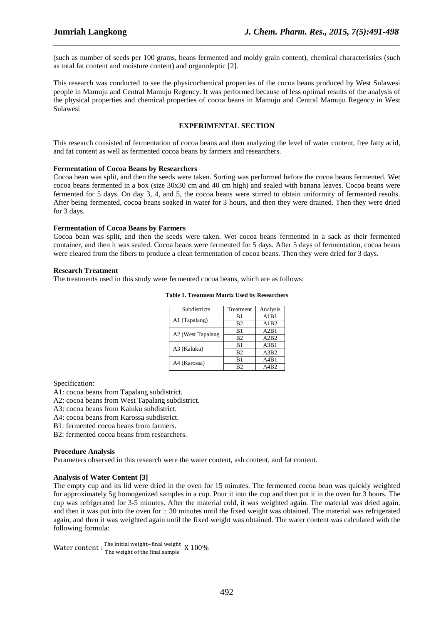(such as number of seeds per 100 grams, beans fermented and moldy grain content), chemical characteristics (such as total fat content and moisture content) and organoleptic [2].

*\_\_\_\_\_\_\_\_\_\_\_\_\_\_\_\_\_\_\_\_\_\_\_\_\_\_\_\_\_\_\_\_\_\_\_\_\_\_\_\_\_\_\_\_\_\_\_\_\_\_\_\_\_\_\_\_\_\_\_\_\_\_\_\_\_\_\_\_\_\_\_\_\_\_\_\_\_\_*

This research was conducted to see the physicochemical properties of the cocoa beans produced by West Sulawesi people in Mamuju and Central Mamuju Regency. It was performed because of less optimal results of the analysis of the physical properties and chemical properties of cocoa beans in Mamuju and Central Mamuju Regency in West Sulawesi

## **EXPERIMENTAL SECTION**

This research consisted of fermentation of cocoa beans and then analyzing the level of water content, free fatty acid, and fat content as well as fermented cocoa beans by farmers and researchers.

### **Fermentation of Cocoa Beans by Researchers**

Cocoa bean was split, and then the seeds were taken. Sorting was performed before the cocoa beans fermented. Wet cocoa beans fermented in a box (size 30x30 cm and 40 cm high) and sealed with banana leaves. Cocoa beans were fermented for 5 days. On day 3, 4, and 5, the cocoa beans were stirred to obtain uniformity of fermented results. After being fermented, cocoa beans soaked in water for 3 hours, and then they were drained. Then they were dried for 3 days.

### **Fermentation of Cocoa Beans by Farmers**

Cocoa bean was split, and then the seeds were taken. Wet cocoa beans fermented in a sack as their fermented container, and then it was sealed. Cocoa beans were fermented for 5 days. After 5 days of fermentation, cocoa beans were cleared from the fibers to produce a clean fermentation of cocoa beans. Then they were dried for 3 days.

### **Research Treatment**

The treatments used in this study were fermented cocoa beans, which are as follows:

| Subdistricts      | Treatment      | Analysis |
|-------------------|----------------|----------|
| A1 (Tapalang)     | B1             | A1B1     |
|                   | B <sub>2</sub> | A1B2     |
| A2 (West Tapalang | B1             | A2B1     |
|                   | B <sub>2</sub> | A2B2     |
| A3 (Kaluku)       | B1             | A3B1     |
|                   | B <sub>2</sub> | A3B2     |
| A4 (Karossa)      | B1             | A4B1     |
|                   | B <sub>2</sub> | A4B2     |

#### **Table 1. Treatment Matrix Used by Researchers**

Specification:

A1: cocoa beans from Tapalang subdistrict.

A2: cocoa beans from West Tapalang subdistrict.

- A3: cocoa beans from Kaluku subdistrict.
- A4: cocoa beans from Karossa subdistrict.

B1: fermented cocoa beans from farmers.

B2: fermented cocoa beans from researchers.

## **Procedure Analysis**

Parameters observed in this research were the water content, ash content, and fat content.

## **Analysis of Water Content [3]**

The empty cup and its lid were dried in the oven for 15 minutes. The fermented cocoa bean was quickly weighted for approximately 5g homogenized samples in a cup. Pour it into the cup and then put it in the oven for 3 hours. The cup was refrigerated for 3-5 minutes. After the material cold, it was weighted again. The material was dried again, and then it was put into the oven for  $\pm 30$  minutes until the fixed weight was obtained. The material was refrigerated again, and then it was weighted again until the fixed weight was obtained. The water content was calculated with the following formula:

Water content :  $\frac{\text{The initial weight} - \text{final weight}}{\text{mean} + \text{mean}}$ The mitial weight–final weight<br>The weight of the final sample X  $100\%$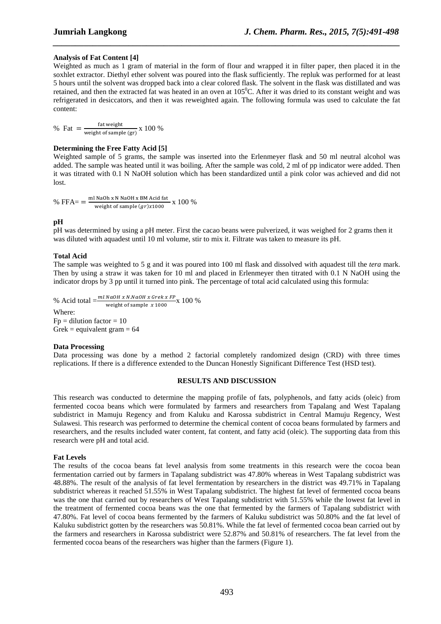## **Analysis of Fat Content [4]**

Weighted as much as 1 gram of material in the form of flour and wrapped it in filter paper, then placed it in the soxhlet extractor. Diethyl ether solvent was poured into the flask sufficiently. The repluk was performed for at least 5 hours until the solvent was dropped back into a clear colored flask. The solvent in the flask was distillated and was retained, and then the extracted fat was heated in an oven at  $105^{\circ}$ C. After it was dried to its constant weight and was refrigerated in desiccators, and then it was reweighted again. The following formula was used to calculate the fat content:

*\_\_\_\_\_\_\_\_\_\_\_\_\_\_\_\_\_\_\_\_\_\_\_\_\_\_\_\_\_\_\_\_\_\_\_\_\_\_\_\_\_\_\_\_\_\_\_\_\_\_\_\_\_\_\_\_\_\_\_\_\_\_\_\_\_\_\_\_\_\_\_\_\_\_\_\_\_\_*

% Fat  $=\frac{\text{fat weight}}{\text{might of sound}}$  $\frac{1}{\text{weight of sample (gr)}}$  x 100 %

## **Determining the Free Fatty Acid [5]**

Weighted sample of 5 grams, the sample was inserted into the Erlenmeyer flask and 50 ml neutral alcohol was added. The sample was heated until it was boiling. After the sample was cold, 2 ml of pp indicator were added. Then it was titrated with 0.1 N NaOH solution which has been standardized until a pink color was achieved and did not lost.

% FFA= = 
 weight of sample  $gr)x1000$   $\times$  100 %

## **pH**

pH was determined by using a pH meter. First the cacao beans were pulverized, it was weighed for 2 grams then it was diluted with aquadest until 10 ml volume, stir to mix it. Filtrate was taken to measure its pH.

## **Total Acid**

The sample was weighted to 5 g and it was poured into 100 ml flask and dissolved with aquadest till the *tera* mark. Then by using a straw it was taken for 10 ml and placed in Erlenmeyer then titrated with 0.1 N NaOH using the indicator drops by 3 pp until it turned into pink. The percentage of total acid calculated using this formula:

% Acid total  $\frac{-m \text{ NaOH} \times \text{N.NaOH} \times \text{Greck} \times \text{FP}}{m \cdot \text{S} \times \text{F} \times \text{S} \times \text{N.NaO}} \times 100\%$ weight of sample  $x$  1000 Where:  $Fp =$  dilution factor = 10 Grek = equivalent gram =  $64$ 

## **Data Processing**

Data processing was done by a method 2 factorial completely randomized design (CRD) with three times replications. If there is a difference extended to the Duncan Honestly Significant Difference Test (HSD test).

## **RESULTS AND DISCUSSION**

This research was conducted to determine the mapping profile of fats, polyphenols, and fatty acids (oleic) from fermented cocoa beans which were formulated by farmers and researchers from Tapalang and West Tapalang subdistrict in Mamuju Regency and from Kaluku and Karossa subdistrict in Central Mamuju Regency, West Sulawesi. This research was performed to determine the chemical content of cocoa beans formulated by farmers and researchers, and the results included water content, fat content, and fatty acid (oleic). The supporting data from this research were pH and total acid.

## **Fat Levels**

The results of the cocoa beans fat level analysis from some treatments in this research were the cocoa bean fermentation carried out by farmers in Tapalang subdistrict was 47.80% whereas in West Tapalang subdistrict was 48.88%. The result of the analysis of fat level fermentation by researchers in the district was 49.71% in Tapalang subdistrict whereas it reached 51.55% in West Tapalang subdistrict. The highest fat level of fermented cocoa beans was the one that carried out by researchers of West Tapalang subdistrict with 51.55% while the lowest fat level in the treatment of fermented cocoa beans was the one that fermented by the farmers of Tapalang subdistrict with 47.80%. Fat level of cocoa beans fermented by the farmers of Kaluku subdistrict was 50.80% and the fat level of Kaluku subdistrict gotten by the researchers was 50.81%. While the fat level of fermented cocoa bean carried out by the farmers and researchers in Karossa subdistrict were 52.87% and 50.81% of researchers. The fat level from the fermented cocoa beans of the researchers was higher than the farmers (Figure 1).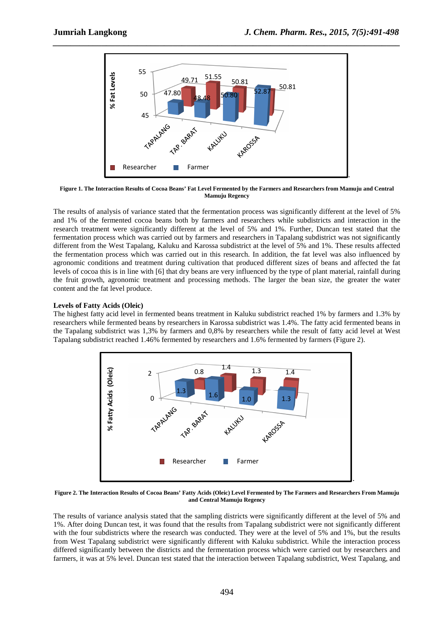

**Figure 1. The Interaction Results of Cocoa Beans' Fat Level Fermented by the Farmers and Researchers from Mamuju and Central Mamuju Regency** 

The results of analysis of variance stated that the fermentation process was significantly different at the level of 5% and 1% of the fermented cocoa beans both by farmers and researchers while subdistricts and interaction in the research treatment were significantly different at the level of 5% and 1%. Further, Duncan test stated that the fermentation process which was carried out by farmers and researchers in Tapalang subdistrict was not significantly different from the West Tapalang, Kaluku and Karossa subdistrict at the level of 5% and 1%. These results affected the fermentation process which was carried out in this research. In addition, the fat level was also influenced by agronomic conditions and treatment during cultivation that produced different sizes of beans and affected the fat levels of cocoa this is in line with [6] that dry beans are very influenced by the type of plant material, rainfall during the fruit growth, agronomic treatment and processing methods. The larger the bean size, the greater the water content and the fat level produce.

## **Levels of Fatty Acids (Oleic)**

The highest fatty acid level in fermented beans treatment in Kaluku subdistrict reached 1% by farmers and 1.3% by researchers while fermented beans by researchers in Karossa subdistrict was 1.4%. The fatty acid fermented beans in the Tapalang subdistrict was 1,3% by farmers and 0,8% by researchers while the result of fatty acid level at West Tapalang subdistrict reached 1.46% fermented by researchers and 1.6% fermented by farmers (Figure 2).



**Figure 2. The Interaction Results of Cocoa Beans' Fatty Acids (Oleic) Level Fermented by The Farmers and Researchers From Mamuju and Central Mamuju Regency** 

The results of variance analysis stated that the sampling districts were significantly different at the level of 5% and 1%. After doing Duncan test, it was found that the results from Tapalang subdistrict were not significantly different with the four subdistricts where the research was conducted. They were at the level of 5% and 1%, but the results from West Tapalang subdistrict were significantly different with Kaluku subdistrict. While the interaction process differed significantly between the districts and the fermentation process which were carried out by researchers and farmers, it was at 5% level. Duncan test stated that the interaction between Tapalang subdistrict, West Tapalang, and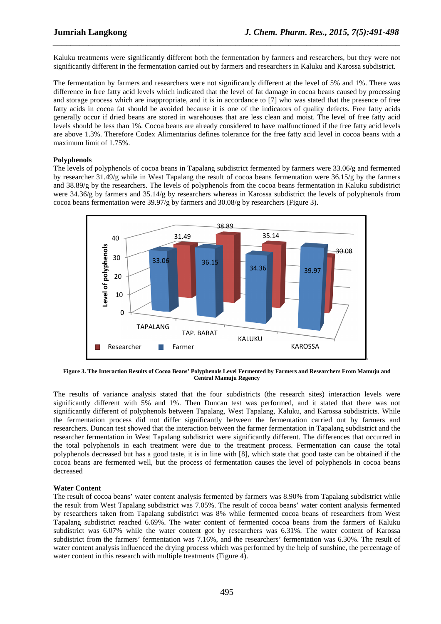Kaluku treatments were significantly different both the fermentation by farmers and researchers, but they were not significantly different in the fermentation carried out by farmers and researchers in Kaluku and Karossa subdistrict.

*\_\_\_\_\_\_\_\_\_\_\_\_\_\_\_\_\_\_\_\_\_\_\_\_\_\_\_\_\_\_\_\_\_\_\_\_\_\_\_\_\_\_\_\_\_\_\_\_\_\_\_\_\_\_\_\_\_\_\_\_\_\_\_\_\_\_\_\_\_\_\_\_\_\_\_\_\_\_*

The fermentation by farmers and researchers were not significantly different at the level of 5% and 1%. There was difference in free fatty acid levels which indicated that the level of fat damage in cocoa beans caused by processing and storage process which are inappropriate, and it is in accordance to [7] who was stated that the presence of free fatty acids in cocoa fat should be avoided because it is one of the indicators of quality defects. Free fatty acids generally occur if dried beans are stored in warehouses that are less clean and moist. The level of free fatty acid levels should be less than 1%. Cocoa beans are already considered to have malfunctioned if the free fatty acid levels are above 1.3%. Therefore Codex Alimentarius defines tolerance for the free fatty acid level in cocoa beans with a maximum limit of 1.75%.

## **Polyphenols**

The levels of polyphenols of cocoa beans in Tapalang subdistrict fermented by farmers were 33.06/g and fermented by researcher 31.49/g while in West Tapalang the result of cocoa beans fermentation were 36.15/g by the farmers and 38.89/g by the researchers. The levels of polyphenols from the cocoa beans fermentation in Kaluku subdistrict were 34.36/g by farmers and 35.14/g by researchers whereas in Karossa subdistrict the levels of polyphenols from cocoa beans fermentation were 39.97/g by farmers and 30.08/g by researchers (Figure 3).



**Figure 3. The Interaction Results of Cocoa Beans' Polyphenols Level Fermented by Farmers and Researchers From Mamuju and Central Mamuju Regency** 

The results of variance analysis stated that the four subdistricts (the research sites) interaction levels were significantly different with 5% and 1%. Then Duncan test was performed, and it stated that there was not significantly different of polyphenols between Tapalang, West Tapalang, Kaluku, and Karossa subdistricts. While the fermentation process did not differ significantly between the fermentation carried out by farmers and researchers. Duncan test showed that the interaction between the farmer fermentation in Tapalang subdistrict and the researcher fermentation in West Tapalang subdistrict were significantly different. The differences that occurred in the total polyphenols in each treatment were due to the treatment process. Fermentation can cause the total polyphenols decreased but has a good taste, it is in line with [8], which state that good taste can be obtained if the cocoa beans are fermented well, but the process of fermentation causes the level of polyphenols in cocoa beans decreased

## **Water Content**

The result of cocoa beans' water content analysis fermented by farmers was 8.90% from Tapalang subdistrict while the result from West Tapalang subdistrict was 7.05%. The result of cocoa beans' water content analysis fermented by researchers taken from Tapalang subdistrict was 8% while fermented cocoa beans of researchers from West Tapalang subdistrict reached 6.69%. The water content of fermented cocoa beans from the farmers of Kaluku subdistrict was 6.07% while the water content got by researchers was 6.31%. The water content of Karossa subdistrict from the farmers' fermentation was 7.16%, and the researchers' fermentation was 6.30%. The result of water content analysis influenced the drying process which was performed by the help of sunshine, the percentage of water content in this research with multiple treatments (Figure 4).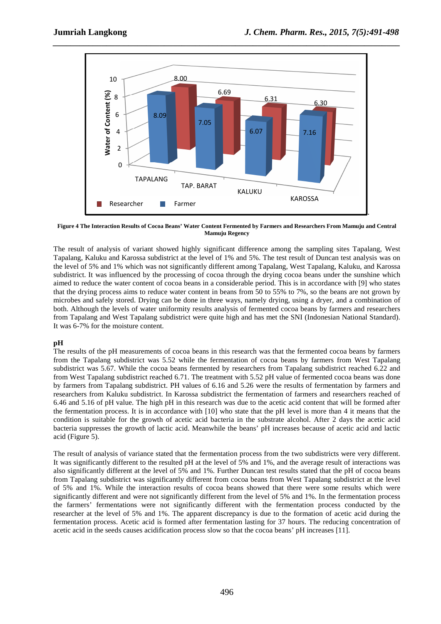

**Figure 4 The Interaction Results of Cocoa Beans' Water Content Fermented by Farmers and Researchers From Mamuju and Central Mamuju Regency** 

The result of analysis of variant showed highly significant difference among the sampling sites Tapalang, West Tapalang, Kaluku and Karossa subdistrict at the level of 1% and 5%. The test result of Duncan test analysis was on the level of 5% and 1% which was not significantly different among Tapalang, West Tapalang, Kaluku, and Karossa subdistrict. It was influenced by the processing of cocoa through the drying cocoa beans under the sunshine which aimed to reduce the water content of cocoa beans in a considerable period. This is in accordance with [9] who states that the drying process aims to reduce water content in beans from 50 to 55% to 7%, so the beans are not grown by microbes and safely stored. Drying can be done in three ways, namely drying, using a dryer, and a combination of both. Although the levels of water uniformity results analysis of fermented cocoa beans by farmers and researchers from Tapalang and West Tapalang subdistrict were quite high and has met the SNI (Indonesian National Standard). It was 6-7% for the moisture content.

## **pH**

The results of the pH measurements of cocoa beans in this research was that the fermented cocoa beans by farmers from the Tapalang subdistrict was 5.52 while the fermentation of cocoa beans by farmers from West Tapalang subdistrict was 5.67. While the cocoa beans fermented by researchers from Tapalang subdistrict reached 6.22 and from West Tapalang subdistrict reached 6.71. The treatment with 5.52 pH value of fermented cocoa beans was done by farmers from Tapalang subdistrict. PH values of 6.16 and 5.26 were the results of fermentation by farmers and researchers from Kaluku subdistrict. In Karossa subdistrict the fermentation of farmers and researchers reached of 6.46 and 5.16 of pH value. The high pH in this research was due to the acetic acid content that will be formed after the fermentation process. It is in accordance with [10] who state that the pH level is more than 4 it means that the condition is suitable for the growth of acetic acid bacteria in the substrate alcohol. After 2 days the acetic acid bacteria suppresses the growth of lactic acid. Meanwhile the beans' pH increases because of acetic acid and lactic acid (Figure 5).

The result of analysis of variance stated that the fermentation process from the two subdistricts were very different. It was significantly different to the resulted pH at the level of 5% and 1%, and the average result of interactions was also significantly different at the level of 5% and 1%. Further Duncan test results stated that the pH of cocoa beans from Tapalang subdistrict was significantly different from cocoa beans from West Tapalang subdistrict at the level of 5% and 1%. While the interaction results of cocoa beans showed that there were some results which were significantly different and were not significantly different from the level of 5% and 1%. In the fermentation process the farmers' fermentations were not significantly different with the fermentation process conducted by the researcher at the level of 5% and 1%. The apparent discrepancy is due to the formation of acetic acid during the fermentation process. Acetic acid is formed after fermentation lasting for 37 hours. The reducing concentration of acetic acid in the seeds causes acidification process slow so that the cocoa beans' pH increases [11].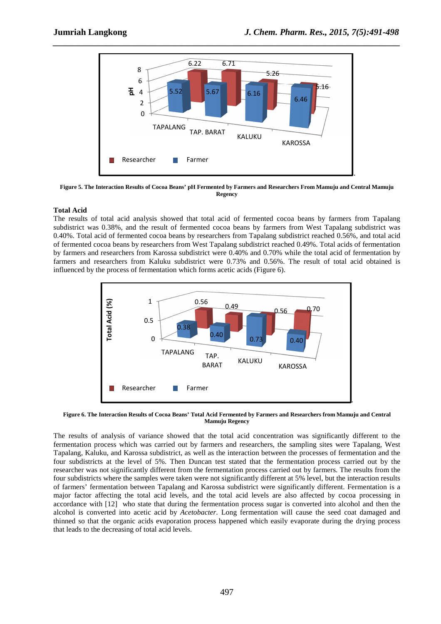

**Figure 5. The Interaction Results of Cocoa Beans' pH Fermented by Farmers and Researchers From Mamuju and Central Mamuju Regency** 

## **Total Acid**

The results of total acid analysis showed that total acid of fermented cocoa beans by farmers from Tapalang subdistrict was 0.38%, and the result of fermented cocoa beans by farmers from West Tapalang subdistrict was 0.40%. Total acid of fermented cocoa beans by researchers from Tapalang subdistrict reached 0.56%, and total acid of fermented cocoa beans by researchers from West Tapalang subdistrict reached 0.49%. Total acids of fermentation by farmers and researchers from Karossa subdistrict were 0.40% and 0.70% while the total acid of fermentation by farmers and researchers from Kaluku subdistrict were 0.73% and 0.56%. The result of total acid obtained is influenced by the process of fermentation which forms acetic acids (Figure 6).



**Figure 6. The Interaction Results of Cocoa Beans' Total Acid Fermented by Farmers and Researchers from Mamuju and Central Mamuju Regency** 

The results of analysis of variance showed that the total acid concentration was significantly different to the fermentation process which was carried out by farmers and researchers, the sampling sites were Tapalang, West Tapalang, Kaluku, and Karossa subdistrict, as well as the interaction between the processes of fermentation and the four subdistricts at the level of 5%. Then Duncan test stated that the fermentation process carried out by the researcher was not significantly different from the fermentation process carried out by farmers. The results from the four subdistricts where the samples were taken were not significantly different at 5% level, but the interaction results of farmers' fermentation between Tapalang and Karossa subdistrict were significantly different. Fermentation is a major factor affecting the total acid levels, and the total acid levels are also affected by cocoa processing in accordance with [12] who state that during the fermentation process sugar is converted into alcohol and then the alcohol is converted into acetic acid by *Acetobacter*. Long fermentation will cause the seed coat damaged and thinned so that the organic acids evaporation process happened which easily evaporate during the drying process that leads to the decreasing of total acid levels.